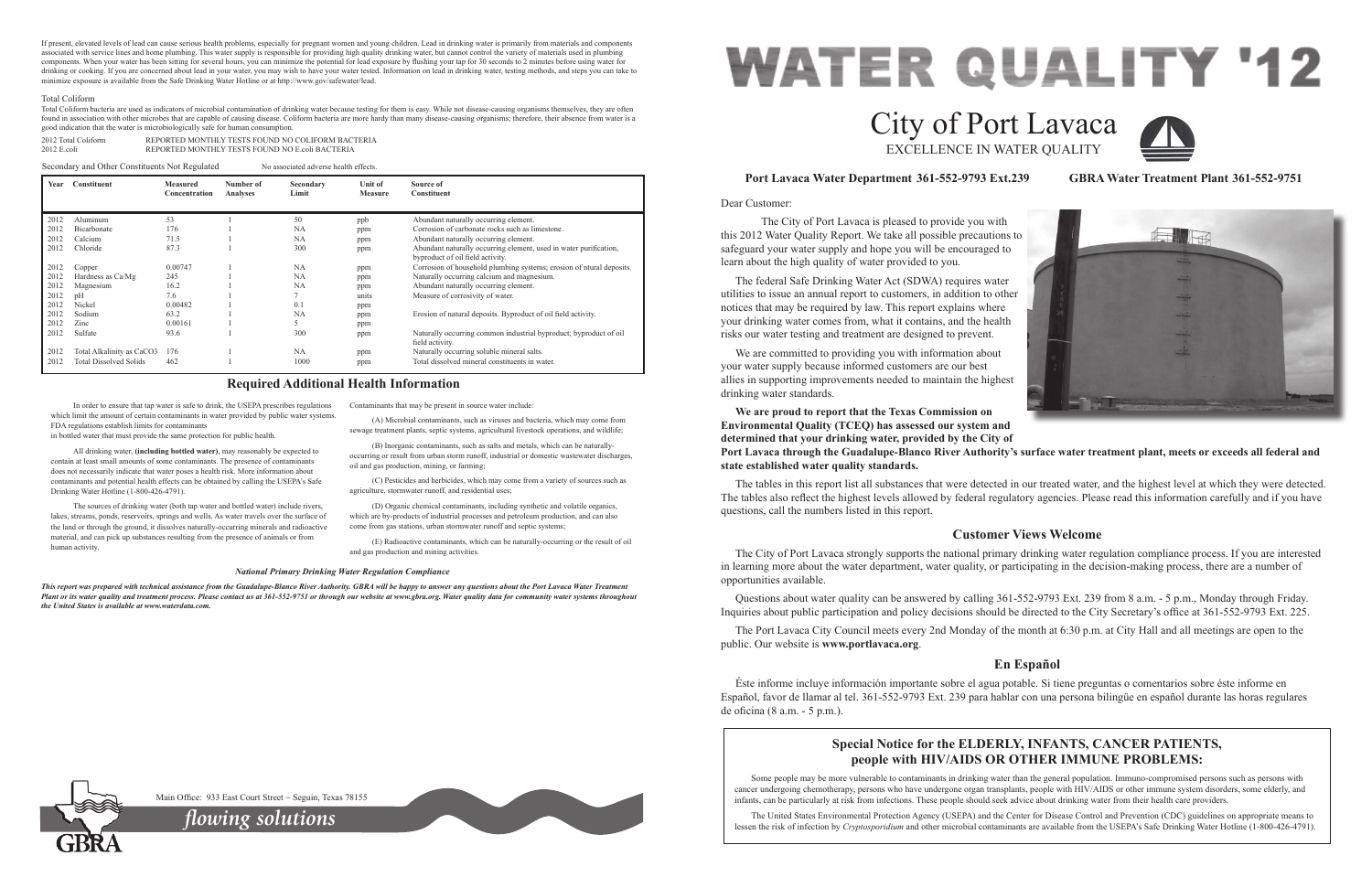Dear Customer:

 The City of Port Lavaca is pleased to provide you with this 2012 Water Quality Report. We take all possible precautions to safeguard your water supply and hope you will be encouraged to learn about the high quality of water provided to you. The federal Safe Drinking Water Act (SDWA) requires water utilities to issue an annual report to customers, in addition to other notices that may be required by law. This report explains where your drinking water comes from, what it contains, and the health risks our water testing and treatment are designed to prevent. We are committed to providing you with information about your water supply because informed customers are our best allies in supporting improvements needed to maintain the highest drinking water standards. **We are proud to report that the Texas Commission on** 

**Environmental Quality (TCEQ) has assessed our system and determined that your drinking water, provided by the City of Port Lavaca through the Guadalupe-Blanco River Authority's surface water treatment plant, meets or exceeds all federal and state established water quality standards.**

The tables in this report list all substances that were detected in our treated water, and the highest level at which they were detected. The tables also reflect the highest levels allowed by federal regulatory agencies. Please read this information carefully and if you have questions, call the numbers listed in this report.

## **Port Lavaca Water Department 361-552-9793 Ext.239 GBRA Water Treatment Plant 361-552-9751**

# **Customer Views Welcome**

The City of Port Lavaca strongly supports the national primary drinking water regulation compliance process. If you are interested in learning more about the water department, water quality, or participating in the decision-making process, there are a number of opportunities available.

Questions about water quality can be answered by calling 361-552-9793 Ext. 239 from 8 a.m. - 5 p.m., Monday through Friday. Inquiries about public participation and policy decisions should be directed to the City Secretary's office at 361-552-9793 Ext. 225.

The Port Lavaca City Council meets every 2nd Monday of the month at 6:30 p.m. at City Hall and all meetings are open to the public. Our website is **www.portlavaca.org**.

# **En Español**

Éste informe incluye información importante sobre el agua potable. Si tiene preguntas o comentarios sobre éste informe en Español, favor de llamar al tel. 361-552-9793 Ext. 239 para hablar con una persona bilingüe en español durante las horas regulares de oficina (8 a.m. - 5 p.m.).

# **WATER QUALITY '12** City of Port Lavaca EXCELLENCE IN WATER QUALITY

In order to ensure that tap water is safe to drink, the USEPA prescribes regulations which limit the amount of certain contaminants in water provided by public water systems. FDA regulations establish limits for contaminants

in bottled water that must provide the same protection for public health.

All drinking water, **(including bottled water)**, may reasonably be expected to contain at least small amounts of some contaminants. The presence of contaminants does not necessarily indicate that water poses a health risk. More information about contaminants and potential health effects can be obtained by calling the USEPA's Safe Drinking Water Hotline (1-800-426-4791).

The sources of drinking water (both tap water and bottled water) include rivers, lakes, streams, ponds, reservoirs, springs and wells. As water travels over the surface of the land or through the ground, it dissolves naturally-occurring minerals and radioactive material, and can pick up substances resulting from the presence of animals or from human activity.

Contaminants that may be present in source water include:

(A) Microbial contaminants, such as viruses and bacteria, which may come from sewage treatment plants, septic systems, agricultural livestock operations, and wildlife;

(B) Inorganic contaminants, such as salts and metals, which can be naturallyoccurring or result from urban storm runoff, industrial or domestic wastewater discharges, oil and gas production, mining, or farming;

(C) Pesticides and herbicides, which may come from a variety of sources such as agriculture, stormwater runoff, and residential uses;

2012 Total Coliform REPORTED MONTHLY TESTS FOUND NO COLIFORM BACTERIA<br>2012 E coli 2012 E.coli REPORTED MONTHLY TESTS FOUND NO E.coli BACTERIA

> (D) Organic chemical contaminants, including synthetic and volatile organics, which are by-products of industrial processes and petroleum production, and can also come from gas stations, urban stormwater runoff and septic systems;

(E) Radioactive contaminants, which can be naturally-occurring or the result of oil and gas production and mining activities.

### **Required Additional Health Information**

#### *National Primary Drinking Water Regulation Compliance*

*This report was prepared with technical assistance from the Guadalupe-Blanco River Authority. GBRA will be happy to answer any questions about the Port Lavaca Water Treatment Plant or its water quality and treatment process. Please contact us at 361-552-9751 or through our website at www.gbra.org. Water quality data for community water systems throughout the United States is available at www.waterdata.com.*

# **Special Notice for the ELDERLY, INFANTS, CANCER PATIENTS, people with HIV/AIDS OR OTHER IMMUNE PROBLEMS:**

Some people may be more vulnerable to contaminants in drinking water than the general population. Immuno-compromised persons such as persons with cancer undergoing chemotherapy, persons who have undergone organ transplants, people with HIV/AIDS or other immune system disorders, some elderly, and infants, can be particularly at risk from infections. These people should seek advice about drinking water from their health care providers.

The United States Environmental Protection Agency (USEPA) and the Center for Disease Control and Prevention (CDC) guidelines on appropriate means to lessen the risk of infection by *Cryptosporidium* and other microbial contaminants are available from the USEPA's Safe Drinking Water Hotline (1-800-426-4791).

Main Office: 933 East Court Street ~ Seguin, Texas 78155



| Year | Constituent                   | <b>Measured</b><br>Concentration | Number of<br>Analyses | Secondary<br>Limit | Unit of<br><b>Measure</b> | Source of<br>Constituent                                             |
|------|-------------------------------|----------------------------------|-----------------------|--------------------|---------------------------|----------------------------------------------------------------------|
|      |                               |                                  |                       |                    |                           |                                                                      |
| 2012 | Aluminum                      | 53                               |                       | 50                 | ppb                       | Abundant naturally occurring element.                                |
| 2012 | Bicarbonate                   | 176                              |                       | NA                 | ppm                       | Corrosion of carbonate rocks such as limestone.                      |
| 2012 | Calcium                       | 71.5                             |                       | NA                 | ppm                       | Abundant naturally occurring element.                                |
| 2012 | Chloride                      | 87.3                             |                       | 300                | ppm                       | Abundant naturally occurring element, used in water purification,    |
|      |                               |                                  |                       |                    |                           | byproduct of oil field activity.                                     |
| 2012 | Copper                        | 0.00747                          |                       | NA                 | ppm                       | Corrosion of household plumbing systems; erosion of ntural deposits. |
| 2012 | Hardness as Ca/Mg             | 245                              |                       | NA                 | ppm                       | Naturally occurring calcium and magnesium.                           |
| 2012 | Magnesium                     | 16.2                             |                       | NA                 | ppm                       | Abundant naturally occurring element.                                |
| 2012 | pH                            | 7.6                              |                       |                    | units                     | Measure of corrosivity of water.                                     |
| 2012 | Nickel                        | 0.00482                          |                       | 0.1                | ppm                       |                                                                      |
| 2012 | Sodium                        | 63.2                             |                       | NA                 | ppm                       | Erosion of natural deposits. Byproduct of oil field activity.        |
| 2012 | Zinc                          | 0.00161                          |                       | 5                  | ppm                       |                                                                      |
| 2012 | Sulfate                       | 93.6                             |                       | 300                | ppm                       | Naturally occurring common industrial byproduct; byproduct of oil    |
|      |                               |                                  |                       |                    |                           | field activity.                                                      |
| 2012 | Total Alkalinity as CaCO3     | 176                              |                       | NA                 | ppm                       | Naturally occurring soluble mineral salts.                           |
| 2012 | <b>Total Dissolved Solids</b> | 462                              |                       | 1000               | ppm                       | Total dissolved mineral constituents in water.                       |
|      |                               |                                  |                       |                    |                           |                                                                      |

Secondary and Other Constituents Not Regulated No associated adverse health effects.

*flowing solutions*





If present, elevated levels of lead can cause serious health problems, especially for pregnant women and young children. Lead in drinking water is primarily from materials and components associated with service lines and home plumbing. This water supply is responsible for providing high quality drinking water, but cannot control the variety of materials used in plumbing components. When your water has been sitting for several hours, you can minimize the potential for lead exposure by flushing your tap for 30 seconds to 2 minutes before using water for drinking or cooking. If you are concerned about lead in your water, you may wish to have your water tested. Information on lead in drinking water, testing methods, and steps you can take to minimize exposure is available from the Safe Drinking Water Hotline or at http://www.gov/safewater/lead.

#### Total Coliform

Total Coliform bacteria are used as indicators of microbial contamination of drinking water because testing for them is easy. While not disease-causing organisms themselves, they are often found in association with other microbes that are capable of causing disease. Coliform bacteria are more hardy than many disease-causing organisms; therefore, their absence from water is a good indication that the water is microbiologically safe for human consumption.